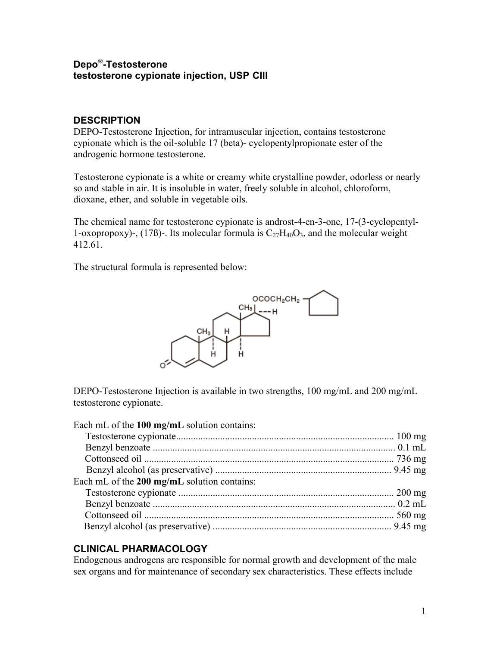### **Depo® -Testosterone testosterone cypionate injection, USP CIII**

## **DESCRIPTION**

DEPO-Testosterone Injection, for intramuscular injection, contains testosterone cypionate which is the oil-soluble 17 (beta)- cyclopentylpropionate ester of the androgenic hormone testosterone.

Testosterone cypionate is a white or creamy white crystalline powder, odorless or nearly so and stable in air. It is insoluble in water, freely soluble in alcohol, chloroform, dioxane, ether, and soluble in vegetable oils.

The chemical name for testosterone cypionate is androst-4-en-3-one, 17-(3-cyclopentyl-1-oxopropoxy)-, (17ß)-. Its molecular formula is  $C_{27}H_{40}O_3$ , and the molecular weight 412.61.

The structural formula is represented below:



DEPO-Testosterone Injection is available in two strengths, 100 mg/mL and 200 mg/mL testosterone cypionate.

| Each mL of the 100 mg/mL solution contains: |  |
|---------------------------------------------|--|
|                                             |  |
|                                             |  |
|                                             |  |
|                                             |  |
| Each mL of the 200 mg/mL solution contains: |  |
|                                             |  |
|                                             |  |
|                                             |  |

# **CLINICAL PHARMACOLOGY**

Endogenous androgens are responsible for normal growth and development of the male sex organs and for maintenance of secondary sex characteristics. These effects include

Benzyl alcohol (as preservative) ......................................................................... 9.45 mg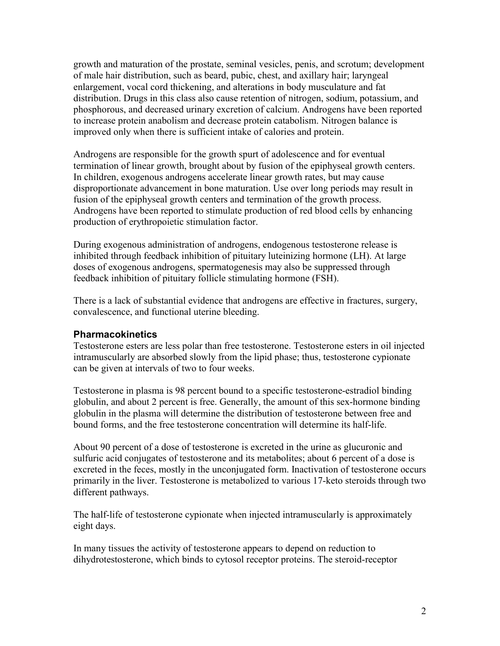growth and maturation of the prostate, seminal vesicles, penis, and scrotum; development of male hair distribution, such as beard, pubic, chest, and axillary hair; laryngeal enlargement, vocal cord thickening, and alterations in body musculature and fat distribution. Drugs in this class also cause retention of nitrogen, sodium, potassium, and phosphorous, and decreased urinary excretion of calcium. Androgens have been reported to increase protein anabolism and decrease protein catabolism. Nitrogen balance is improved only when there is sufficient intake of calories and protein.

Androgens are responsible for the growth spurt of adolescence and for eventual termination of linear growth, brought about by fusion of the epiphyseal growth centers. In children, exogenous androgens accelerate linear growth rates, but may cause disproportionate advancement in bone maturation. Use over long periods may result in fusion of the epiphyseal growth centers and termination of the growth process. Androgens have been reported to stimulate production of red blood cells by enhancing production of erythropoietic stimulation factor.

During exogenous administration of androgens, endogenous testosterone release is inhibited through feedback inhibition of pituitary luteinizing hormone (LH). At large doses of exogenous androgens, spermatogenesis may also be suppressed through feedback inhibition of pituitary follicle stimulating hormone (FSH).

There is a lack of substantial evidence that androgens are effective in fractures, surgery, convalescence, and functional uterine bleeding.

#### **Pharmacokinetics**

Testosterone esters are less polar than free testosterone. Testosterone esters in oil injected intramuscularly are absorbed slowly from the lipid phase; thus, testosterone cypionate can be given at intervals of two to four weeks.

Testosterone in plasma is 98 percent bound to a specific testosterone-estradiol binding globulin, and about 2 percent is free. Generally, the amount of this sex-hormone binding globulin in the plasma will determine the distribution of testosterone between free and bound forms, and the free testosterone concentration will determine its half-life.

About 90 percent of a dose of testosterone is excreted in the urine as glucuronic and sulfuric acid conjugates of testosterone and its metabolites; about 6 percent of a dose is excreted in the feces, mostly in the unconjugated form. Inactivation of testosterone occurs primarily in the liver. Testosterone is metabolized to various 17-keto steroids through two different pathways.

The half-life of testosterone cypionate when injected intramuscularly is approximately eight days.

In many tissues the activity of testosterone appears to depend on reduction to dihydrotestosterone, which binds to cytosol receptor proteins. The steroid-receptor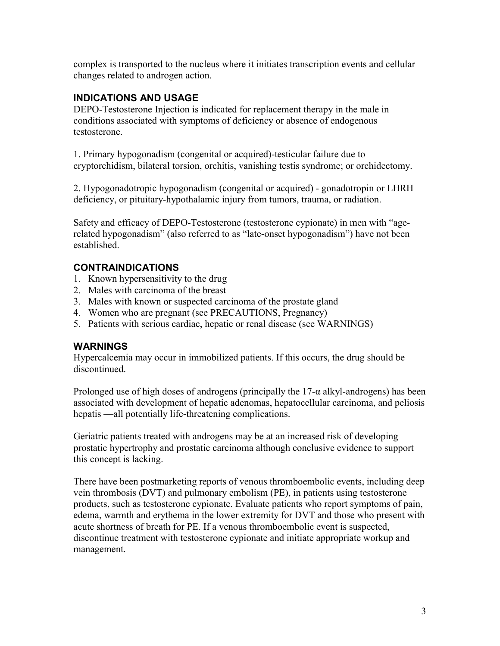complex is transported to the nucleus where it initiates transcription events and cellular changes related to androgen action.

## **INDICATIONS AND USAGE**

DEPO-Testosterone Injection is indicated for replacement therapy in the male in conditions associated with symptoms of deficiency or absence of endogenous testosterone.

1. Primary hypogonadism (congenital or acquired)-testicular failure due to cryptorchidism, bilateral torsion, orchitis, vanishing testis syndrome; or orchidectomy.

2. Hypogonadotropic hypogonadism (congenital or acquired) - gonadotropin or LHRH deficiency, or pituitary-hypothalamic injury from tumors, trauma, or radiation.

Safety and efficacy of DEPO-Testosterone (testosterone cypionate) in men with "agerelated hypogonadism" (also referred to as "late-onset hypogonadism") have not been established.

# **CONTRAINDICATIONS**

- 1. Known hypersensitivity to the drug
- 2. Males with carcinoma of the breast
- 3. Males with known or suspected carcinoma of the prostate gland
- 4. Women who are pregnant (see PRECAUTIONS, Pregnancy)
- 5. Patients with serious cardiac, hepatic or renal disease (see WARNINGS)

# **WARNINGS**

Hypercalcemia may occur in immobilized patients. If this occurs, the drug should be discontinued.

Prolonged use of high doses of androgens (principally the  $17-\alpha$  alkyl-androgens) has been associated with development of hepatic adenomas, hepatocellular carcinoma, and peliosis hepatis —all potentially life-threatening complications.

Geriatric patients treated with androgens may be at an increased risk of developing prostatic hypertrophy and prostatic carcinoma although conclusive evidence to support this concept is lacking.

There have been postmarketing reports of venous thromboembolic events, including deep vein thrombosis (DVT) and pulmonary embolism (PE), in patients using testosterone products, such as testosterone cypionate. Evaluate patients who report symptoms of pain, edema, warmth and erythema in the lower extremity for DVT and those who present with acute shortness of breath for PE. If a venous thromboembolic event is suspected, discontinue treatment with testosterone cypionate and initiate appropriate workup and management.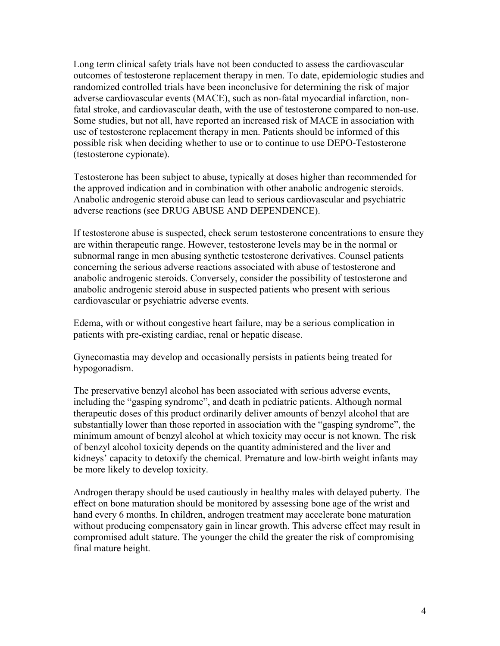Long term clinical safety trials have not been conducted to assess the cardiovascular outcomes of testosterone replacement therapy in men. To date, epidemiologic studies and randomized controlled trials have been inconclusive for determining the risk of major adverse cardiovascular events (MACE), such as non-fatal myocardial infarction, nonfatal stroke, and cardiovascular death, with the use of testosterone compared to non-use. Some studies, but not all, have reported an increased risk of MACE in association with use of testosterone replacement therapy in men. Patients should be informed of this possible risk when deciding whether to use or to continue to use DEPO-Testosterone (testosterone cypionate).

Testosterone has been subject to abuse, typically at doses higher than recommended for the approved indication and in combination with other anabolic androgenic steroids. Anabolic androgenic steroid abuse can lead to serious cardiovascular and psychiatric adverse reactions (see DRUG ABUSE AND DEPENDENCE).

If testosterone abuse is suspected, check serum testosterone concentrations to ensure they are within therapeutic range. However, testosterone levels may be in the normal or subnormal range in men abusing synthetic testosterone derivatives. Counsel patients concerning the serious adverse reactions associated with abuse of testosterone and anabolic androgenic steroids. Conversely, consider the possibility of testosterone and anabolic androgenic steroid abuse in suspected patients who present with serious cardiovascular or psychiatric adverse events.

Edema, with or without congestive heart failure, may be a serious complication in patients with pre-existing cardiac, renal or hepatic disease.

Gynecomastia may develop and occasionally persists in patients being treated for hypogonadism.

The preservative benzyl alcohol has been associated with serious adverse events, including the "gasping syndrome", and death in pediatric patients. Although normal therapeutic doses of this product ordinarily deliver amounts of benzyl alcohol that are substantially lower than those reported in association with the "gasping syndrome", the minimum amount of benzyl alcohol at which toxicity may occur is not known. The risk of benzyl alcohol toxicity depends on the quantity administered and the liver and kidneys' capacity to detoxify the chemical. Premature and low-birth weight infants may be more likely to develop toxicity.

Androgen therapy should be used cautiously in healthy males with delayed puberty. The effect on bone maturation should be monitored by assessing bone age of the wrist and hand every 6 months. In children, androgen treatment may accelerate bone maturation without producing compensatory gain in linear growth. This adverse effect may result in compromised adult stature. The younger the child the greater the risk of compromising final mature height.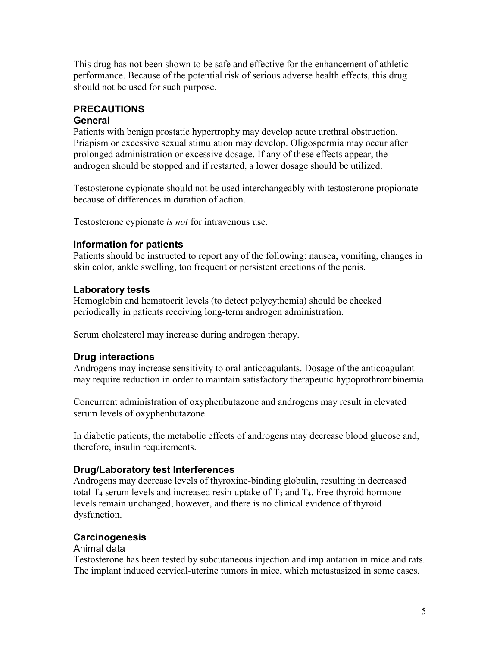This drug has not been shown to be safe and effective for the enhancement of athletic performance. Because of the potential risk of serious adverse health effects, this drug should not be used for such purpose.

# **PRECAUTIONS**

## **General**

Patients with benign prostatic hypertrophy may develop acute urethral obstruction. Priapism or excessive sexual stimulation may develop. Oligospermia may occur after prolonged administration or excessive dosage. If any of these effects appear, the androgen should be stopped and if restarted, a lower dosage should be utilized.

Testosterone cypionate should not be used interchangeably with testosterone propionate because of differences in duration of action.

Testosterone cypionate *is not* for intravenous use.

## **Information for patients**

Patients should be instructed to report any of the following: nausea, vomiting, changes in skin color, ankle swelling, too frequent or persistent erections of the penis.

## **Laboratory tests**

Hemoglobin and hematocrit levels (to detect polycythemia) should be checked periodically in patients receiving long-term androgen administration.

Serum cholesterol may increase during androgen therapy.

# **Drug interactions**

Androgens may increase sensitivity to oral anticoagulants. Dosage of the anticoagulant may require reduction in order to maintain satisfactory therapeutic hypoprothrombinemia.

Concurrent administration of oxyphenbutazone and androgens may result in elevated serum levels of oxyphenbutazone.

In diabetic patients, the metabolic effects of androgens may decrease blood glucose and, therefore, insulin requirements.

# **Drug/Laboratory test Interferences**

Androgens may decrease levels of thyroxine-binding globulin, resulting in decreased total  $T_4$  serum levels and increased resin uptake of  $T_3$  and  $T_4$ . Free thyroid hormone levels remain unchanged, however, and there is no clinical evidence of thyroid dysfunction.

# **Carcinogenesis**

#### Animal data

Testosterone has been tested by subcutaneous injection and implantation in mice and rats. The implant induced cervical-uterine tumors in mice, which metastasized in some cases.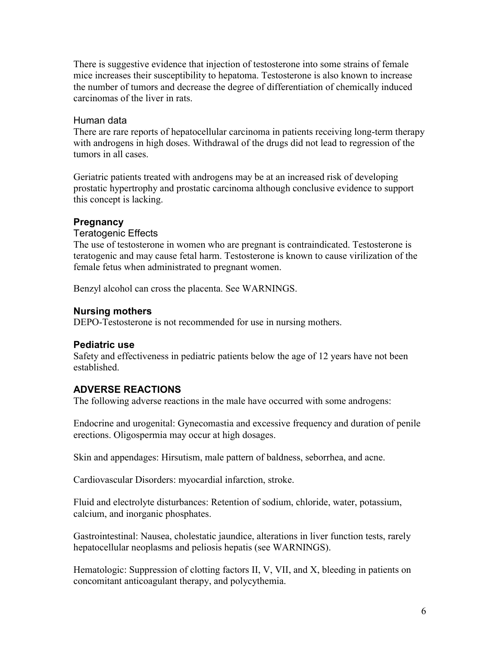There is suggestive evidence that injection of testosterone into some strains of female mice increases their susceptibility to hepatoma. Testosterone is also known to increase the number of tumors and decrease the degree of differentiation of chemically induced carcinomas of the liver in rats.

#### Human data

There are rare reports of hepatocellular carcinoma in patients receiving long-term therapy with androgens in high doses. Withdrawal of the drugs did not lead to regression of the tumors in all cases.

Geriatric patients treated with androgens may be at an increased risk of developing prostatic hypertrophy and prostatic carcinoma although conclusive evidence to support this concept is lacking.

#### **Pregnancy**

#### Teratogenic Effects

The use of testosterone in women who are pregnant is contraindicated. Testosterone is teratogenic and may cause fetal harm. Testosterone is known to cause virilization of the female fetus when administrated to pregnant women.

Benzyl alcohol can cross the placenta. See WARNINGS.

#### **Nursing mothers**

DEPO-Testosterone is not recommended for use in nursing mothers.

#### **Pediatric use**

Safety and effectiveness in pediatric patients below the age of 12 years have not been established.

#### **ADVERSE REACTIONS**

The following adverse reactions in the male have occurred with some androgens:

Endocrine and urogenital: Gynecomastia and excessive frequency and duration of penile erections. Oligospermia may occur at high dosages.

Skin and appendages: Hirsutism, male pattern of baldness, seborrhea, and acne.

Cardiovascular Disorders: myocardial infarction, stroke.

Fluid and electrolyte disturbances: Retention of sodium, chloride, water, potassium, calcium, and inorganic phosphates.

Gastrointestinal: Nausea, cholestatic jaundice, alterations in liver function tests, rarely hepatocellular neoplasms and peliosis hepatis (see WARNINGS).

Hematologic: Suppression of clotting factors II, V, VII, and X, bleeding in patients on concomitant anticoagulant therapy, and polycythemia.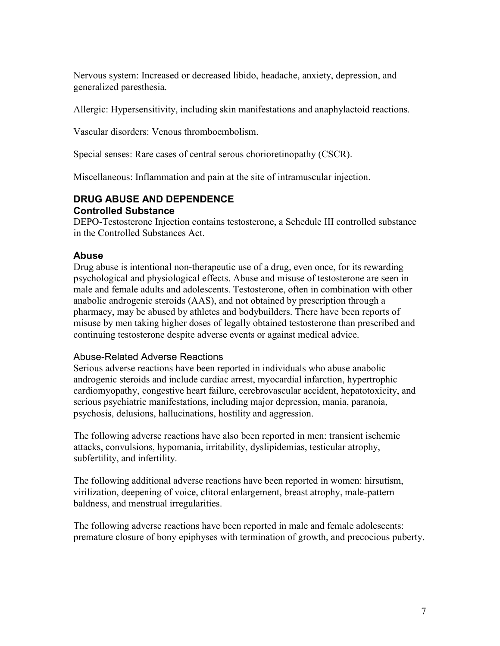Nervous system: Increased or decreased libido, headache, anxiety, depression, and generalized paresthesia.

Allergic: Hypersensitivity, including skin manifestations and anaphylactoid reactions.

Vascular disorders: Venous thromboembolism.

Special senses: Rare cases of central serous chorioretinopathy (CSCR).

Miscellaneous: Inflammation and pain at the site of intramuscular injection.

### **DRUG ABUSE AND DEPENDENCE Controlled Substance**

DEPO-Testosterone Injection contains testosterone, a Schedule III controlled substance in the Controlled Substances Act.

## **Abuse**

Drug abuse is intentional non-therapeutic use of a drug, even once, for its rewarding psychological and physiological effects. Abuse and misuse of testosterone are seen in male and female adults and adolescents. Testosterone, often in combination with other anabolic androgenic steroids (AAS), and not obtained by prescription through a pharmacy, may be abused by athletes and bodybuilders. There have been reports of misuse by men taking higher doses of legally obtained testosterone than prescribed and continuing testosterone despite adverse events or against medical advice.

#### Abuse-Related Adverse Reactions

Serious adverse reactions have been reported in individuals who abuse anabolic androgenic steroids and include cardiac arrest, myocardial infarction, hypertrophic cardiomyopathy, congestive heart failure, cerebrovascular accident, hepatotoxicity, and serious psychiatric manifestations, including major depression, mania, paranoia, psychosis, delusions, hallucinations, hostility and aggression.

The following adverse reactions have also been reported in men: transient ischemic attacks, convulsions, hypomania, irritability, dyslipidemias, testicular atrophy, subfertility, and infertility.

The following additional adverse reactions have been reported in women: hirsutism, virilization, deepening of voice, clitoral enlargement, breast atrophy, male-pattern baldness, and menstrual irregularities.

The following adverse reactions have been reported in male and female adolescents: premature closure of bony epiphyses with termination of growth, and precocious puberty.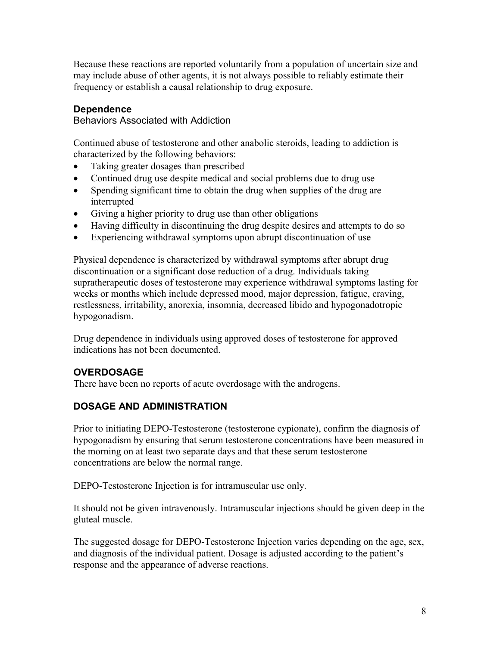Because these reactions are reported voluntarily from a population of uncertain size and may include abuse of other agents, it is not always possible to reliably estimate their frequency or establish a causal relationship to drug exposure.

# **Dependence**

Behaviors Associated with Addiction

Continued abuse of testosterone and other anabolic steroids, leading to addiction is characterized by the following behaviors:

- Taking greater dosages than prescribed
- Continued drug use despite medical and social problems due to drug use
- Spending significant time to obtain the drug when supplies of the drug are interrupted
- Giving a higher priority to drug use than other obligations
- Having difficulty in discontinuing the drug despite desires and attempts to do so
- Experiencing withdrawal symptoms upon abrupt discontinuation of use

Physical dependence is characterized by withdrawal symptoms after abrupt drug discontinuation or a significant dose reduction of a drug. Individuals taking supratherapeutic doses of testosterone may experience withdrawal symptoms lasting for weeks or months which include depressed mood, major depression, fatigue, craving, restlessness, irritability, anorexia, insomnia, decreased libido and hypogonadotropic hypogonadism.

Drug dependence in individuals using approved doses of testosterone for approved indications has not been documented.

# **OVERDOSAGE**

There have been no reports of acute overdosage with the androgens.

# **DOSAGE AND ADMINISTRATION**

Prior to initiating DEPO-Testosterone (testosterone cypionate), confirm the diagnosis of hypogonadism by ensuring that serum testosterone concentrations have been measured in the morning on at least two separate days and that these serum testosterone concentrations are below the normal range.

DEPO-Testosterone Injection is for intramuscular use only.

It should not be given intravenously. Intramuscular injections should be given deep in the gluteal muscle.

The suggested dosage for DEPO-Testosterone Injection varies depending on the age, sex, and diagnosis of the individual patient. Dosage is adjusted according to the patient's response and the appearance of adverse reactions.